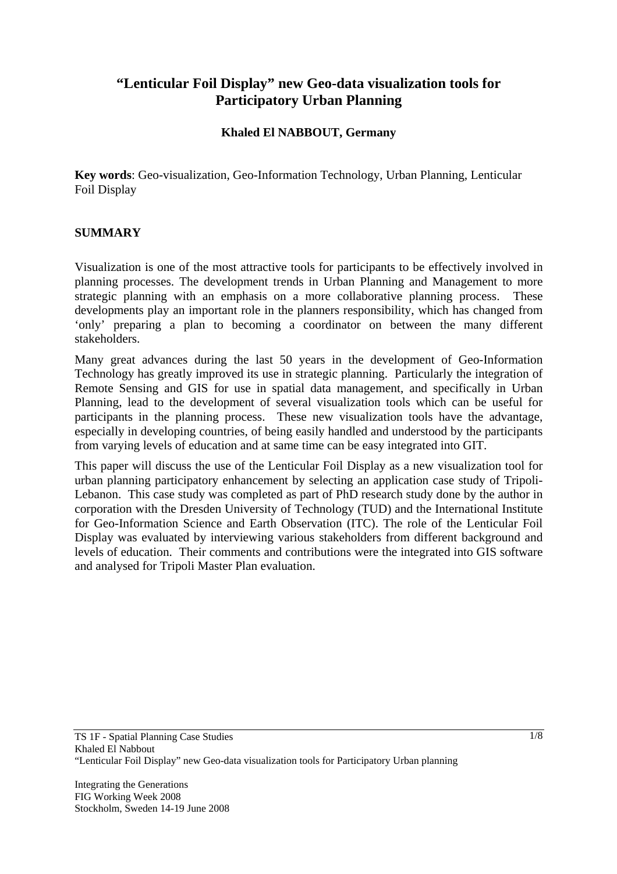# **"Lenticular Foil Display" new Geo-data visualization tools for Participatory Urban Planning**

#### **Khaled El NABBOUT, Germany**

**Key words**: Geo-visualization, Geo-Information Technology, Urban Planning, Lenticular Foil Display

#### **SUMMARY**

Visualization is one of the most attractive tools for participants to be effectively involved in planning processes. The development trends in Urban Planning and Management to more strategic planning with an emphasis on a more collaborative planning process. These developments play an important role in the planners responsibility, which has changed from 'only' preparing a plan to becoming a coordinator on between the many different stakeholders.

Many great advances during the last 50 years in the development of Geo-Information Technology has greatly improved its use in strategic planning. Particularly the integration of Remote Sensing and GIS for use in spatial data management, and specifically in Urban Planning, lead to the development of several visualization tools which can be useful for participants in the planning process. These new visualization tools have the advantage, especially in developing countries, of being easily handled and understood by the participants from varying levels of education and at same time can be easy integrated into GIT.

This paper will discuss the use of the Lenticular Foil Display as a new visualization tool for urban planning participatory enhancement by selecting an application case study of Tripoli-Lebanon. This case study was completed as part of PhD research study done by the author in corporation with the Dresden University of Technology (TUD) and the International Institute for Geo-Information Science and Earth Observation (ITC). The role of the Lenticular Foil Display was evaluated by interviewing various stakeholders from different background and levels of education. Their comments and contributions were the integrated into GIS software and analysed for Tripoli Master Plan evaluation.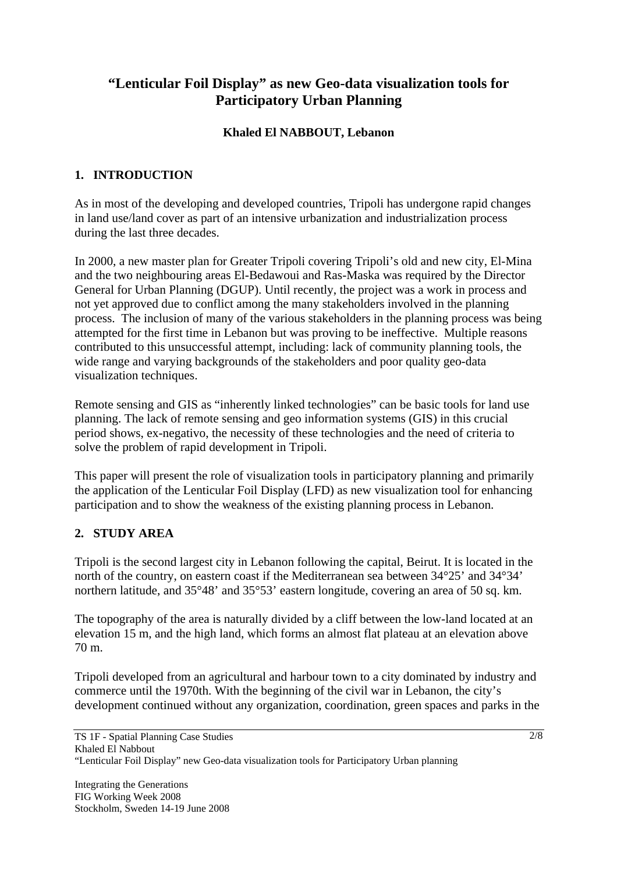# **"Lenticular Foil Display" as new Geo-data visualization tools for Participatory Urban Planning**

## **Khaled El NABBOUT, Lebanon**

## **1. INTRODUCTION**

As in most of the developing and developed countries, Tripoli has undergone rapid changes in land use/land cover as part of an intensive urbanization and industrialization process during the last three decades.

In 2000, a new master plan for Greater Tripoli covering Tripoli's old and new city, El-Mina and the two neighbouring areas El-Bedawoui and Ras-Maska was required by the Director General for Urban Planning (DGUP). Until recently, the project was a work in process and not yet approved due to conflict among the many stakeholders involved in the planning process. The inclusion of many of the various stakeholders in the planning process was being attempted for the first time in Lebanon but was proving to be ineffective. Multiple reasons contributed to this unsuccessful attempt, including: lack of community planning tools, the wide range and varying backgrounds of the stakeholders and poor quality geo-data visualization techniques.

Remote sensing and GIS as "inherently linked technologies" can be basic tools for land use planning. The lack of remote sensing and geo information systems (GIS) in this crucial period shows, ex-negativo, the necessity of these technologies and the need of criteria to solve the problem of rapid development in Tripoli.

This paper will present the role of visualization tools in participatory planning and primarily the application of the Lenticular Foil Display (LFD) as new visualization tool for enhancing participation and to show the weakness of the existing planning process in Lebanon.

# **2. STUDY AREA**

Tripoli is the second largest city in Lebanon following the capital, Beirut. It is located in the north of the country, on eastern coast if the Mediterranean sea between 34°25' and 34°34' northern latitude, and 35°48' and 35°53' eastern longitude, covering an area of 50 sq. km.

The topography of the area is naturally divided by a cliff between the low-land located at an elevation 15 m, and the high land, which forms an almost flat plateau at an elevation above 70 m.

Tripoli developed from an agricultural and harbour town to a city dominated by industry and commerce until the 1970th. With the beginning of the civil war in Lebanon, the city's development continued without any organization, coordination, green spaces and parks in the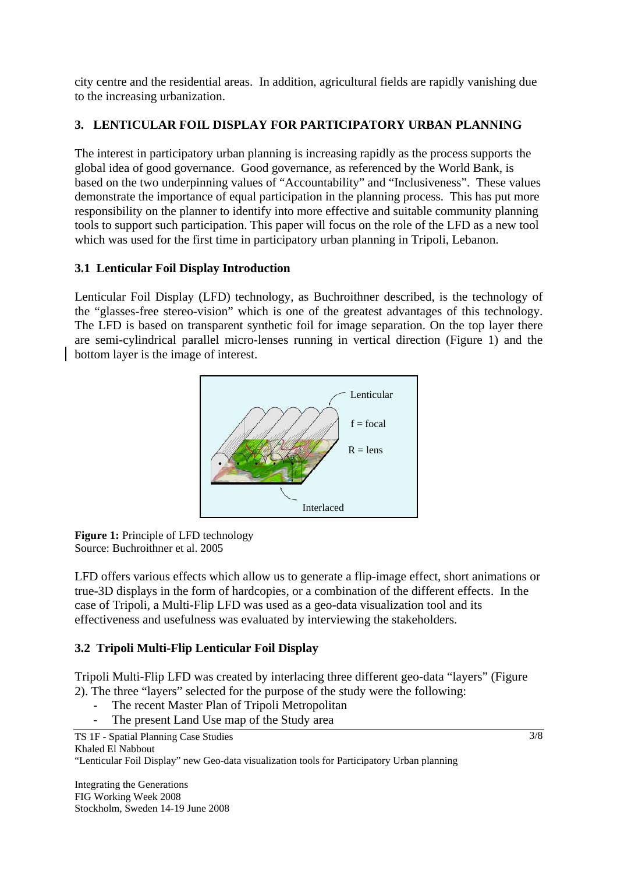city centre and the residential areas. In addition, agricultural fields are rapidly vanishing due to the increasing urbanization.

# **3. LENTICULAR FOIL DISPLAY FOR PARTICIPATORY URBAN PLANNING**

The interest in participatory urban planning is increasing rapidly as the process supports the global idea of good governance. Good governance, as referenced by the World Bank, is based on the two underpinning values of "Accountability" and "Inclusiveness". These values demonstrate the importance of equal participation in the planning process. This has put more responsibility on the planner to identify into more effective and suitable community planning tools to support such participation. This paper will focus on the role of the LFD as a new tool which was used for the first time in participatory urban planning in Tripoli, Lebanon.

# **3.1 Lenticular Foil Display Introduction**

Lenticular Foil Display (LFD) technology, as Buchroithner described, is the technology of the "glasses-free stereo-vision" which is one of the greatest advantages of this technology. The LFD is based on transparent synthetic foil for image separation. On the top layer there are semi-cylindrical parallel micro-lenses running in vertical direction (Figure 1) and the bottom layer is the image of interest.



**Figure 1:** Principle of LFD technology Source: Buchroithner et al. 2005

LFD offers various effects which allow us to generate a flip-image effect, short animations or true-3D displays in the form of hardcopies, or a combination of the different effects. In the case of Tripoli, a Multi-Flip LFD was used as a geo-data visualization tool and its effectiveness and usefulness was evaluated by interviewing the stakeholders.

# **3.2 Tripoli Multi-Flip Lenticular Foil Display**

Tripoli Multi-Flip LFD was created by interlacing three different geo-data "layers" (Figure 2). The three "layers" selected for the purpose of the study were the following:

- The recent Master Plan of Tripoli Metropolitan
- The present Land Use map of the Study area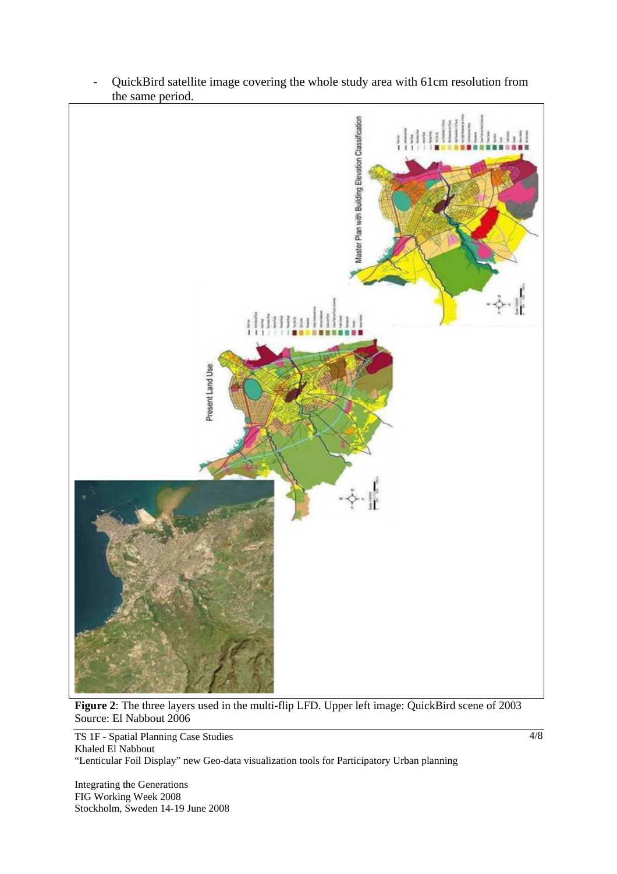

- QuickBird satellite image covering the whole study area with 61cm resolution from the same period.

**Figure 2**: The three layers used in the multi-flip LFD. Upper left image: QuickBird scene of 2003 Source: El Nabbout 2006

TS 1F - Spatial Planning Case Studies Khaled El Nabbout "Lenticular Foil Display" new Geo-data visualization tools for Participatory Urban planning

Integrating the Generations FIG Working Week 2008 Stockholm, Sweden 14-19 June 2008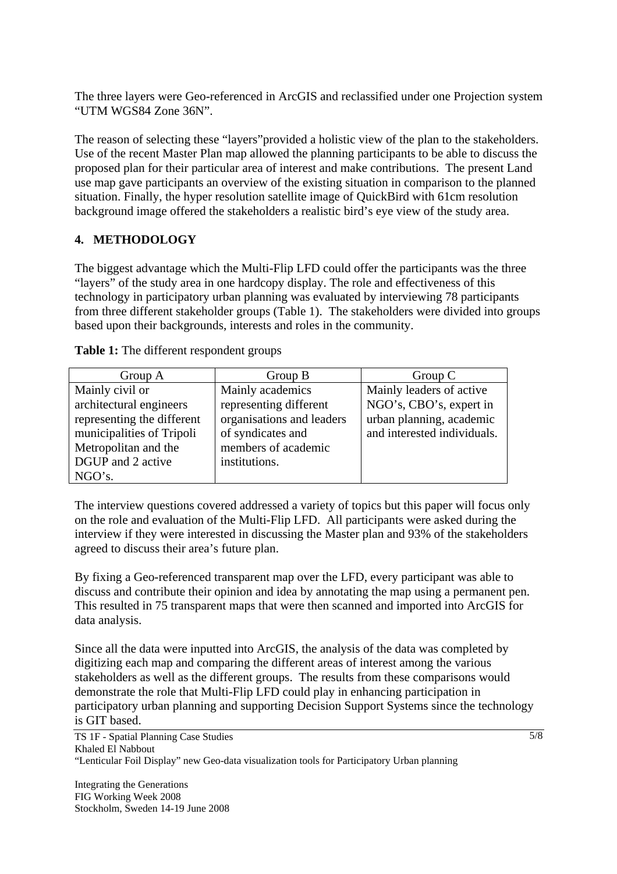The three layers were Geo-referenced in ArcGIS and reclassified under one Projection system "UTM WGS84 Zone 36N".

The reason of selecting these "layers"provided a holistic view of the plan to the stakeholders. Use of the recent Master Plan map allowed the planning participants to be able to discuss the proposed plan for their particular area of interest and make contributions. The present Land use map gave participants an overview of the existing situation in comparison to the planned situation. Finally, the hyper resolution satellite image of QuickBird with 61cm resolution background image offered the stakeholders a realistic bird's eye view of the study area.

#### **4. METHODOLOGY**

The biggest advantage which the Multi-Flip LFD could offer the participants was the three "layers" of the study area in one hardcopy display. The role and effectiveness of this technology in participatory urban planning was evaluated by interviewing 78 participants from three different stakeholder groups (Table 1). The stakeholders were divided into groups based upon their backgrounds, interests and roles in the community.

| Group A                    | Group B                   | Group $C$                   |
|----------------------------|---------------------------|-----------------------------|
| Mainly civil or            | Mainly academics          | Mainly leaders of active    |
| architectural engineers    | representing different    | NGO's, CBO's, expert in     |
| representing the different | organisations and leaders | urban planning, academic    |
| municipalities of Tripoli  | of syndicates and         | and interested individuals. |
| Metropolitan and the       | members of academic       |                             |
| DGUP and 2 active          | institutions.             |                             |
| NGO's.                     |                           |                             |

**Table 1:** The different respondent groups

The interview questions covered addressed a variety of topics but this paper will focus only on the role and evaluation of the Multi-Flip LFD. All participants were asked during the interview if they were interested in discussing the Master plan and 93% of the stakeholders agreed to discuss their area's future plan.

By fixing a Geo-referenced transparent map over the LFD, every participant was able to discuss and contribute their opinion and idea by annotating the map using a permanent pen. This resulted in 75 transparent maps that were then scanned and imported into ArcGIS for data analysis.

Since all the data were inputted into ArcGIS, the analysis of the data was completed by digitizing each map and comparing the different areas of interest among the various stakeholders as well as the different groups. The results from these comparisons would demonstrate the role that Multi-Flip LFD could play in enhancing participation in participatory urban planning and supporting Decision Support Systems since the technology is GIT based.

TS 1F - Spatial Planning Case Studies Khaled El Nabbout "Lenticular Foil Display" new Geo-data visualization tools for Participatory Urban planning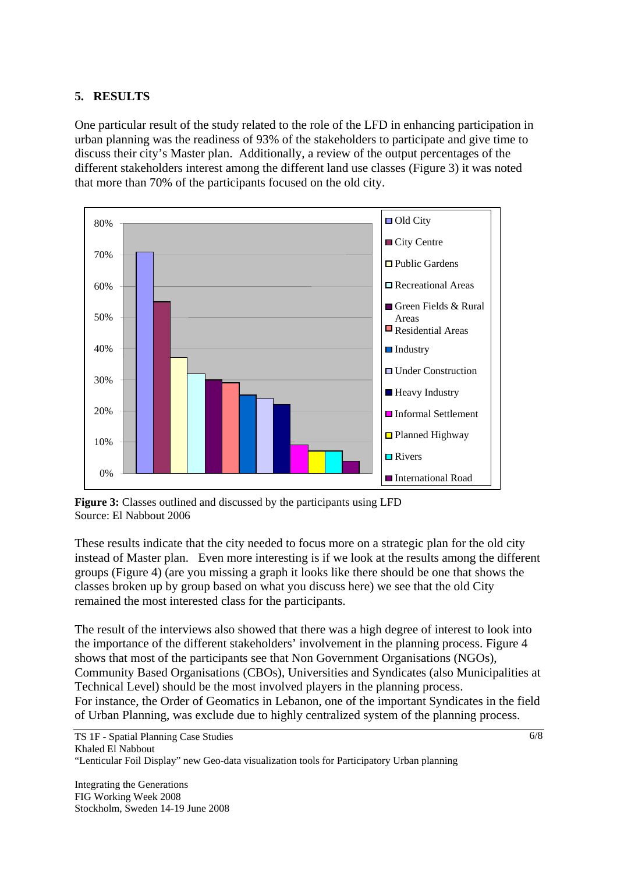#### **5. RESULTS**

One particular result of the study related to the role of the LFD in enhancing participation in urban planning was the readiness of 93% of the stakeholders to participate and give time to discuss their city's Master plan. Additionally, a review of the output percentages of the different stakeholders interest among the different land use classes (Figure 3) it was noted that more than 70% of the participants focused on the old city.



**Figure 3:** Classes outlined and discussed by the participants using LFD Source: El Nabbout 2006

These results indicate that the city needed to focus more on a strategic plan for the old city instead of Master plan. Even more interesting is if we look at the results among the different groups (Figure 4) (are you missing a graph it looks like there should be one that shows the classes broken up by group based on what you discuss here) we see that the old City remained the most interested class for the participants.

The result of the interviews also showed that there was a high degree of interest to look into the importance of the different stakeholders' involvement in the planning process. Figure 4 shows that most of the participants see that Non Government Organisations (NGOs), Community Based Organisations (CBOs), Universities and Syndicates (also Municipalities at Technical Level) should be the most involved players in the planning process. For instance, the Order of Geomatics in Lebanon, one of the important Syndicates in the field of Urban Planning, was exclude due to highly centralized system of the planning process.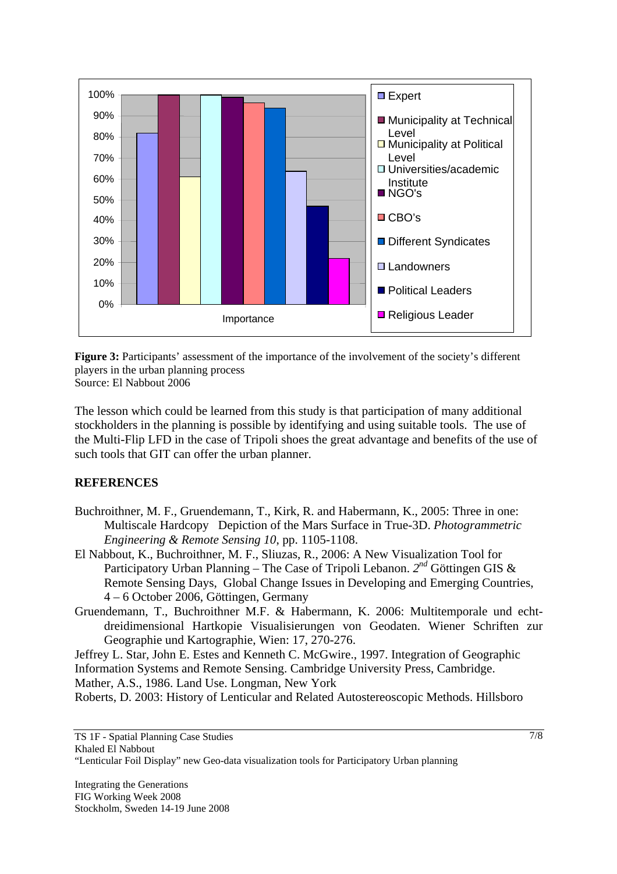

**Figure 3:** Participants' assessment of the importance of the involvement of the society's different players in the urban planning process Source: El Nabbout 2006

The lesson which could be learned from this study is that participation of many additional stockholders in the planning is possible by identifying and using suitable tools. The use of the Multi-Flip LFD in the case of Tripoli shoes the great advantage and benefits of the use of such tools that GIT can offer the urban planner.

#### **REFERENCES**

- Buchroithner, M. F., Gruendemann, T., Kirk, R. and Habermann, K., 2005: Three in one: Multiscale Hardcopy Depiction of the Mars Surface in True-3D. *Photogrammetric Engineering & Remote Sensing 10*, pp. 1105-1108.
- El Nabbout, K., Buchroithner, M. F., Sliuzas, R., 2006: A New Visualization Tool for Participatory Urban Planning – The Case of Tripoli Lebanon. *2nd* Göttingen GIS & Remote Sensing Days, Global Change Issues in Developing and Emerging Countries, 4 – 6 October 2006, Göttingen, Germany
- Gruendemann, T., Buchroithner M.F. & Habermann, K. 2006: Multitemporale und echtdreidimensional Hartkopie Visualisierungen von Geodaten. Wiener Schriften zur Geographie und Kartographie, Wien: 17, 270-276.

Jeffrey L. Star, John E. Estes and Kenneth C. McGwire., 1997. Integration of Geographic Information Systems and Remote Sensing. Cambridge University Press, Cambridge. Mather, A.S., 1986. Land Use. Longman, New York

Roberts, D. 2003: History of Lenticular and Related Autostereoscopic Methods. Hillsboro

TS 1F - Spatial Planning Case Studies Khaled El Nabbout "Lenticular Foil Display" new Geo-data visualization tools for Participatory Urban planning